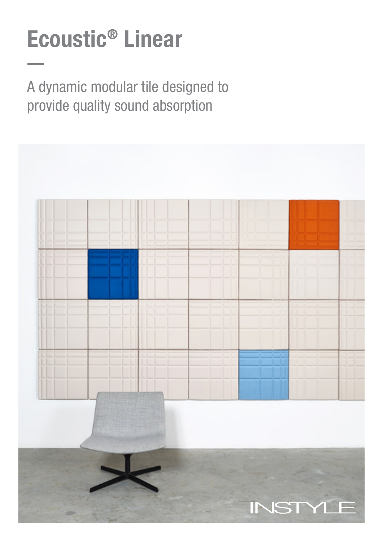# Ecoustic® Linear

A dynamic modular tile designed to provide quality sound absorption

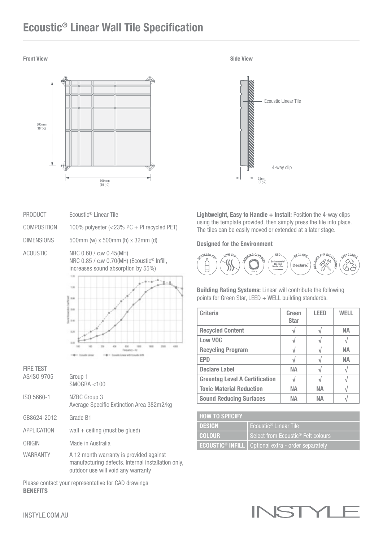### Ecoustic® Linear Wall Tile Specification





PRODUCT Ecoustic<sup>®</sup> Linear Tile

COMPOSITION 100% polyester (<23% PC + PI recycled PET)

DIMENSIONS 500mm (w) x 500mm (h) x 32mm (d)

ACOUSTIC NRC 0.60 / αw 0.45(MH) NRC 0.85 / αw 0.70(MH) (Ecoustic® Infill, increases sound absorption by 55%)



FIRE TEST AS/ISO 9705 Group 1 SMOGRA <100 ISO 5660-1 NZBC Group 3 Average Specific Extinction Area 382m2/kg GB8624-2012 Grade B1  $APPLICATION$  wall  $+$  ceiling (must be glued) ORIGIN Made in Australia WARRANTY A 12 month warranty is provided against manufacturing defects. Internal installation only, outdoor use will void any warranty

Please contact your representative for CAD drawings **BENEFITS** 

Lightweight, Easy to Handle + Install: Position the 4-way clips using the template provided, then simply press the tile into place. The tiles can be easily moved or extended at a later stage.

Designed for the Environment



Building Rating Systems: Linear will contribute the following points for Green Star, LEED + WELL building standards.

| <b>Criteria</b>                       | Green<br><b>Star</b> | <b>LEED</b> | WFI I |
|---------------------------------------|----------------------|-------------|-------|
| <b>Recycled Content</b>               |                      |             | NА    |
| Low VOC                               |                      |             |       |
| <b>Recycling Program</b>              |                      |             | NА    |
| <b>EPD</b>                            |                      |             | NА    |
| <b>Declare Label</b>                  | <b>NA</b>            |             |       |
| <b>Greentag Level A Certification</b> |                      |             |       |
| <b>Toxic Material Reduction</b>       | NА                   | <b>NA</b>   |       |
| <b>Sound Reducing Surfaces</b>        | NΔ                   | NΔ          |       |

| <b>HOW TO SPECIFY</b> |                                                                  |
|-----------------------|------------------------------------------------------------------|
| <b>DESIGN</b>         | Ecoustic <sup>®</sup> Linear Tile                                |
| <b>COLOUR</b>         | Select from Ecoustic <sup>®</sup> Felt colours                   |
|                       | ECOUSTIC <sup>®</sup> INFILL   Optional extra - order separately |

## INST